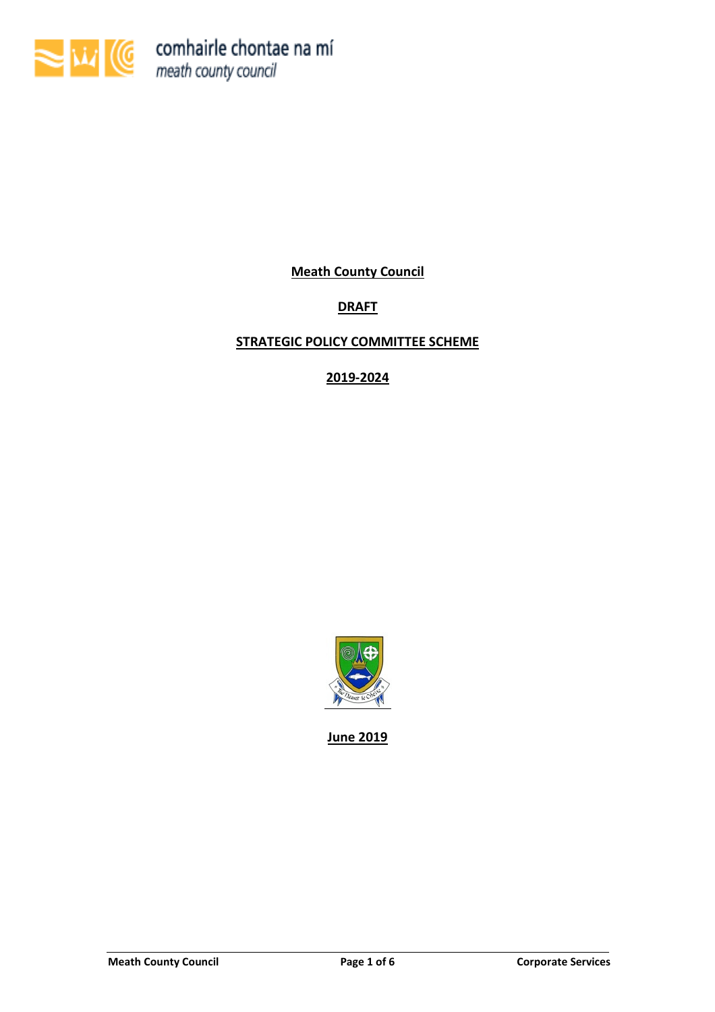

Meath County Council

# **DRAFT**

# STRATEGIC POLICY COMMITTEE SCHEME

2019-2024



June 2019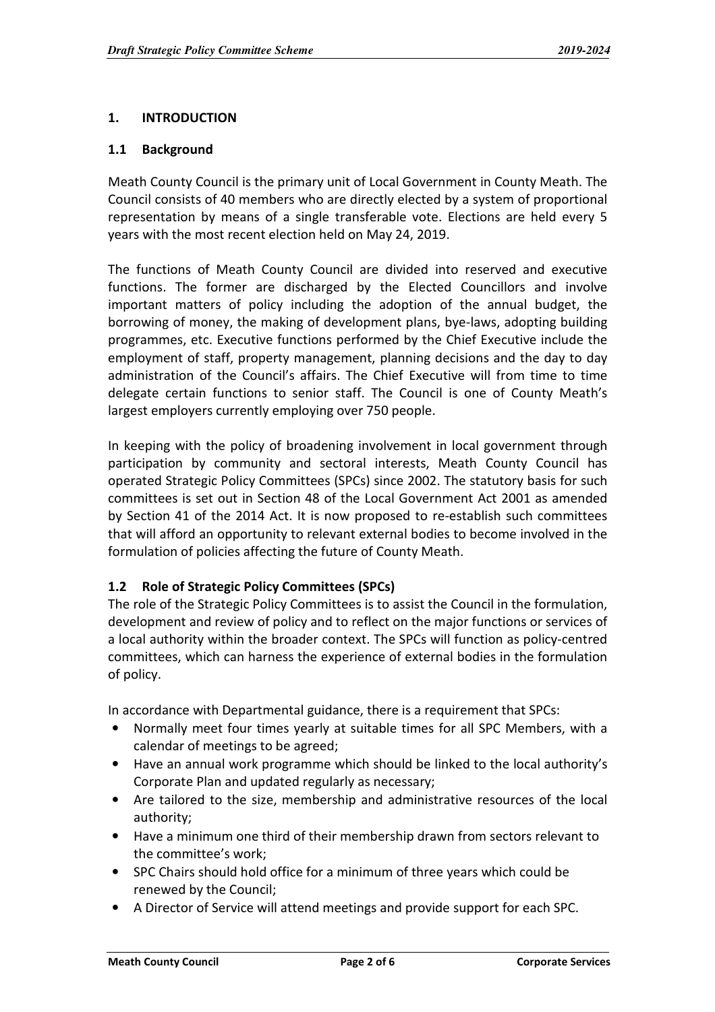## 1. INTRODUCTION

#### 1.1 Background

Meath County Council is the primary unit of Local Government in County Meath. The Council consists of 40 members who are directly elected by a system of proportional representation by means of a single transferable vote. Elections are held every 5 years with the most recent election held on May 24, 2019.

The functions of Meath County Council are divided into reserved and executive functions. The former are discharged by the Elected Councillors and involve important matters of policy including the adoption of the annual budget, the borrowing of money, the making of development plans, bye-laws, adopting building programmes, etc. Executive functions performed by the Chief Executive include the employment of staff, property management, planning decisions and the day to day administration of the Council's affairs. The Chief Executive will from time to time delegate certain functions to senior staff. The Council is one of County Meath's largest employers currently employing over 750 people.

In keeping with the policy of broadening involvement in local government through participation by community and sectoral interests, Meath County Council has operated Strategic Policy Committees (SPCs) since 2002. The statutory basis for such committees is set out in Section 48 of the Local Government Act 2001 as amended by Section 41 of the 2014 Act. It is now proposed to re-establish such committees that will afford an opportunity to relevant external bodies to become involved in the formulation of policies affecting the future of County Meath.

# 1.2 Role of Strategic Policy Committees (SPCs)

The role of the Strategic Policy Committees is to assist the Council in the formulation, development and review of policy and to reflect on the major functions or services of a local authority within the broader context. The SPCs will function as policy-centred committees, which can harness the experience of external bodies in the formulation of policy.

In accordance with Departmental guidance, there is a requirement that SPCs:

- Normally meet four times yearly at suitable times for all SPC Members, with a calendar of meetings to be agreed;
- Have an annual work programme which should be linked to the local authority's Corporate Plan and updated regularly as necessary;
- Are tailored to the size, membership and administrative resources of the local authority;
- Have a minimum one third of their membership drawn from sectors relevant to the committee's work;
- SPC Chairs should hold office for a minimum of three years which could be renewed by the Council;
- A Director of Service will attend meetings and provide support for each SPC.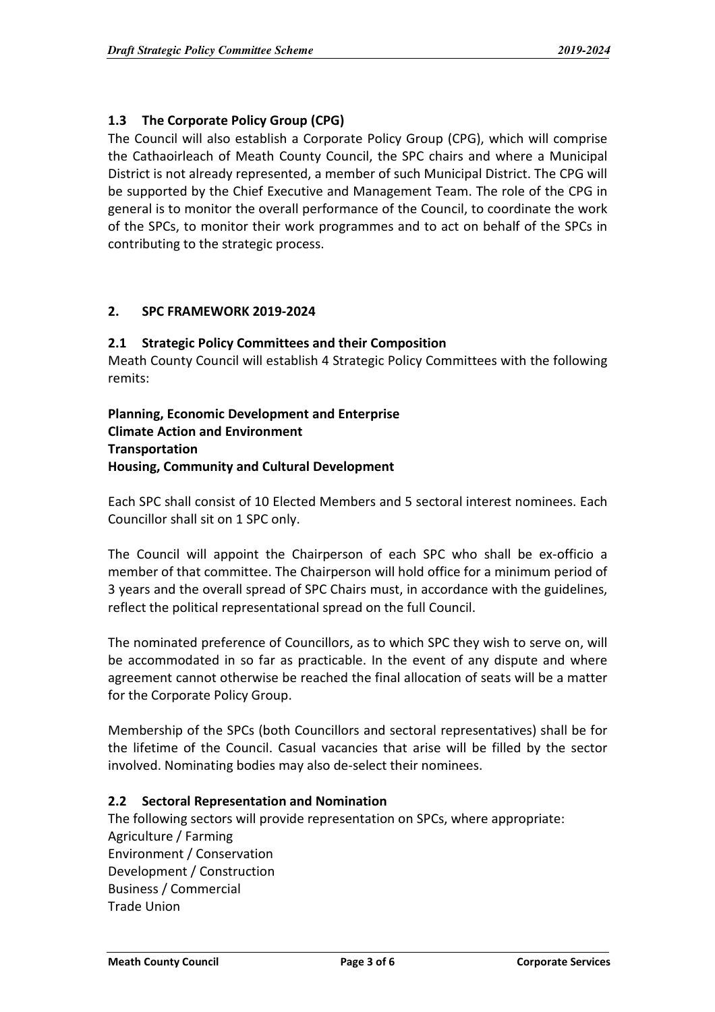# 1.3 The Corporate Policy Group (CPG)

The Council will also establish a Corporate Policy Group (CPG), which will comprise the Cathaoirleach of Meath County Council, the SPC chairs and where a Municipal District is not already represented, a member of such Municipal District. The CPG will be supported by the Chief Executive and Management Team. The role of the CPG in general is to monitor the overall performance of the Council, to coordinate the work of the SPCs, to monitor their work programmes and to act on behalf of the SPCs in contributing to the strategic process.

### 2. SPC FRAMEWORK 2019-2024

#### 2.1 Strategic Policy Committees and their Composition

Meath County Council will establish 4 Strategic Policy Committees with the following remits:

## Planning, Economic Development and Enterprise Climate Action and Environment **Transportation** Housing, Community and Cultural Development

Each SPC shall consist of 10 Elected Members and 5 sectoral interest nominees. Each Councillor shall sit on 1 SPC only.

The Council will appoint the Chairperson of each SPC who shall be ex-officio a member of that committee. The Chairperson will hold office for a minimum period of 3 years and the overall spread of SPC Chairs must, in accordance with the guidelines, reflect the political representational spread on the full Council.

The nominated preference of Councillors, as to which SPC they wish to serve on, will be accommodated in so far as practicable. In the event of any dispute and where agreement cannot otherwise be reached the final allocation of seats will be a matter for the Corporate Policy Group.

Membership of the SPCs (both Councillors and sectoral representatives) shall be for the lifetime of the Council. Casual vacancies that arise will be filled by the sector involved. Nominating bodies may also de-select their nominees.

#### 2.2 Sectoral Representation and Nomination

The following sectors will provide representation on SPCs, where appropriate: Agriculture / Farming Environment / Conservation Development / Construction Business / Commercial Trade Union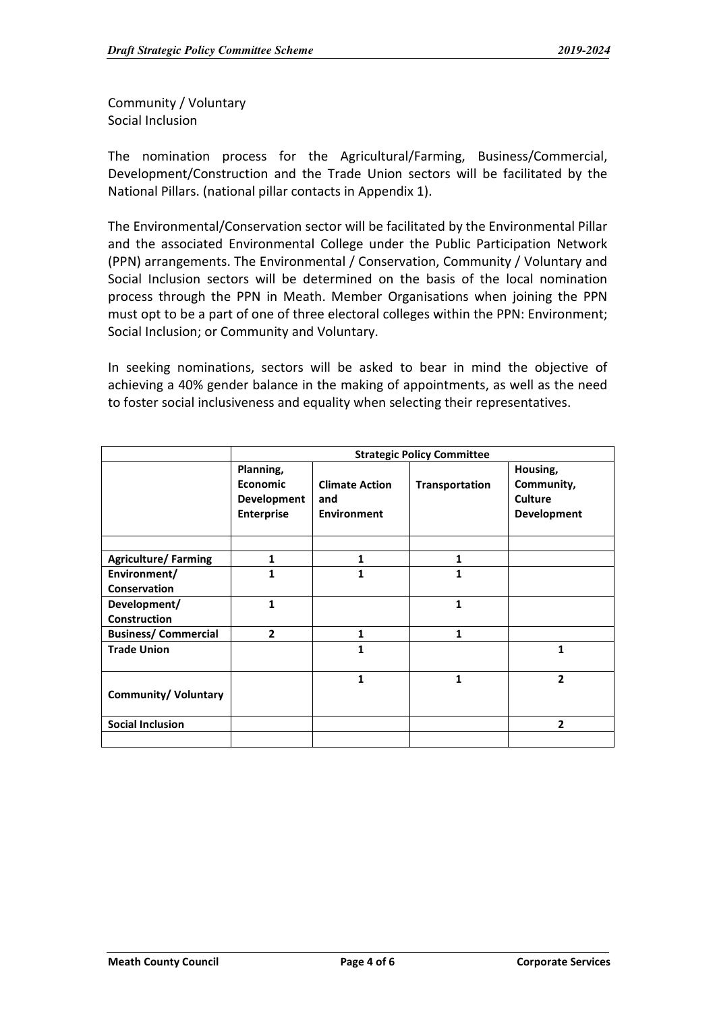Community / Voluntary Social Inclusion

The nomination process for the Agricultural/Farming, Business/Commercial, Development/Construction and the Trade Union sectors will be facilitated by the National Pillars. (national pillar contacts in Appendix 1).

The Environmental/Conservation sector will be facilitated by the Environmental Pillar and the associated Environmental College under the Public Participation Network (PPN) arrangements. The Environmental / Conservation, Community / Voluntary and Social Inclusion sectors will be determined on the basis of the local nomination process through the PPN in Meath. Member Organisations when joining the PPN must opt to be a part of one of three electoral colleges within the PPN: Environment; Social Inclusion; or Community and Voluntary.

In seeking nominations, sectors will be asked to bear in mind the objective of achieving a 40% gender balance in the making of appointments, as well as the need to foster social inclusiveness and equality when selecting their representatives.

|                                     | <b>Strategic Policy Committee</b>                                |                                                    |                       |                                                                |
|-------------------------------------|------------------------------------------------------------------|----------------------------------------------------|-----------------------|----------------------------------------------------------------|
|                                     | Planning,<br><b>Economic</b><br>Development<br><b>Enterprise</b> | <b>Climate Action</b><br>and<br><b>Environment</b> | <b>Transportation</b> | Housing,<br>Community,<br><b>Culture</b><br><b>Development</b> |
|                                     |                                                                  |                                                    |                       |                                                                |
| <b>Agriculture/Farming</b>          | $\mathbf{1}$                                                     | 1                                                  | 1                     |                                                                |
| Environment/                        | 1                                                                |                                                    | 1                     |                                                                |
| Conservation                        |                                                                  |                                                    |                       |                                                                |
| Development/<br><b>Construction</b> | $\mathbf{1}$                                                     |                                                    | $\mathbf{1}$          |                                                                |
| <b>Business/Commercial</b>          | $\overline{2}$                                                   | 1                                                  | 1                     |                                                                |
| <b>Trade Union</b>                  |                                                                  | 1                                                  |                       | 1                                                              |
| <b>Community/ Voluntary</b>         |                                                                  | 1                                                  | 1                     | $\mathbf{2}$                                                   |
| <b>Social Inclusion</b>             |                                                                  |                                                    |                       | 2                                                              |
|                                     |                                                                  |                                                    |                       |                                                                |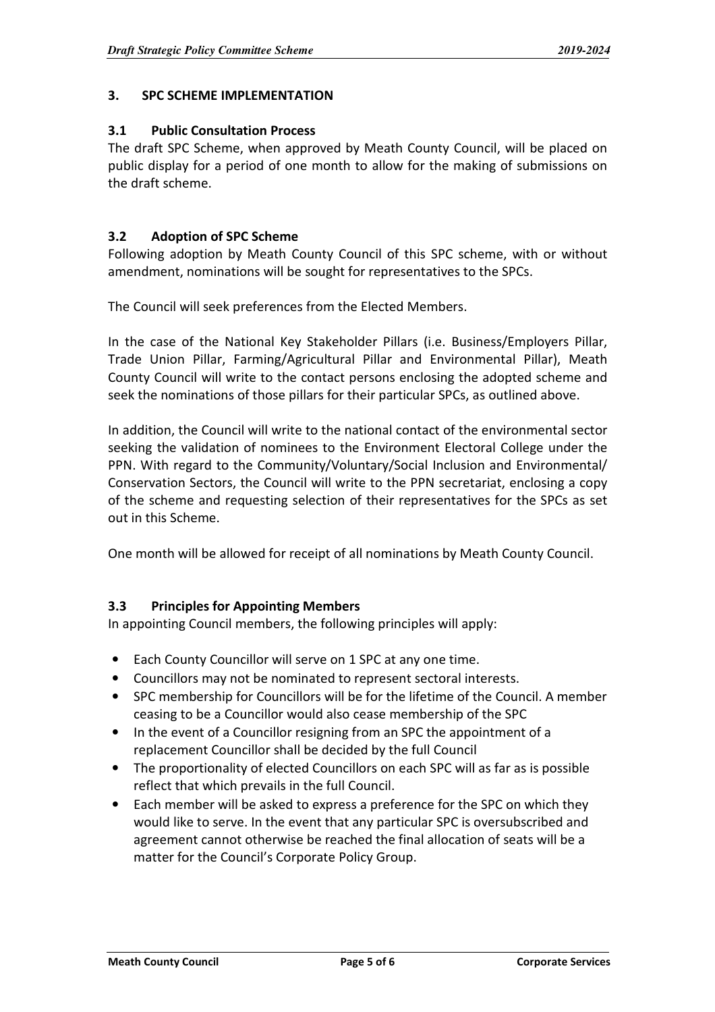### 3. SPC SCHEME IMPLEMENTATION

#### 3.1 Public Consultation Process

The draft SPC Scheme, when approved by Meath County Council, will be placed on public display for a period of one month to allow for the making of submissions on the draft scheme.

### 3.2 Adoption of SPC Scheme

Following adoption by Meath County Council of this SPC scheme, with or without amendment, nominations will be sought for representatives to the SPCs.

The Council will seek preferences from the Elected Members.

In the case of the National Key Stakeholder Pillars (i.e. Business/Employers Pillar, Trade Union Pillar, Farming/Agricultural Pillar and Environmental Pillar), Meath County Council will write to the contact persons enclosing the adopted scheme and seek the nominations of those pillars for their particular SPCs, as outlined above.

In addition, the Council will write to the national contact of the environmental sector seeking the validation of nominees to the Environment Electoral College under the PPN. With regard to the Community/Voluntary/Social Inclusion and Environmental/ Conservation Sectors, the Council will write to the PPN secretariat, enclosing a copy of the scheme and requesting selection of their representatives for the SPCs as set out in this Scheme.

One month will be allowed for receipt of all nominations by Meath County Council.

# 3.3 Principles for Appointing Members

In appointing Council members, the following principles will apply:

- Each County Councillor will serve on 1 SPC at any one time.
- Councillors may not be nominated to represent sectoral interests.
- SPC membership for Councillors will be for the lifetime of the Council. A member ceasing to be a Councillor would also cease membership of the SPC
- In the event of a Councillor resigning from an SPC the appointment of a replacement Councillor shall be decided by the full Council
- The proportionality of elected Councillors on each SPC will as far as is possible reflect that which prevails in the full Council.
- Each member will be asked to express a preference for the SPC on which they would like to serve. In the event that any particular SPC is oversubscribed and agreement cannot otherwise be reached the final allocation of seats will be a matter for the Council's Corporate Policy Group.